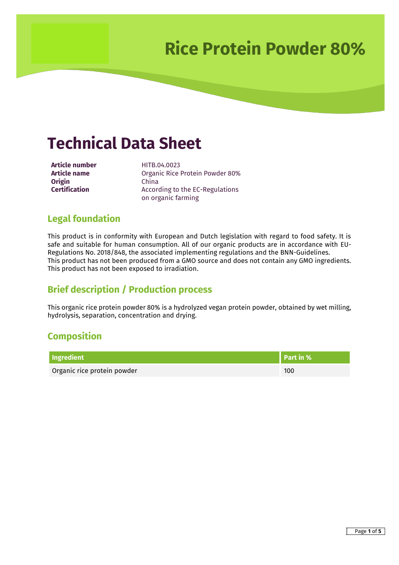## **Technical Data Sheet**

**Article number**<br>**Article name Article name Dreanic Rice I Origin** China<br>**Certification** Accord

**Organic Rice Protein Powder 80%** According to the EC-Regulations on organic farming

### **Legal foundation**

This product is in conformity with European and Dutch legislation with regard to food safety. It is safe and suitable for human consumption. All of our organic products are in accordance with EU-Regulations No. 2018/848, the associated implementing regulations and the BNN-Guidelines. This product has not been produced from a GMO source and does not contain any GMO ingredients. This product has not been exposed to irradiation.

### **Brief description / Production process**

This organic rice protein powder 80% is a hydrolyzed vegan protein powder, obtained by wet milling, hydrolysis, separation, concentration and drying.

### **Composition**

| Ingredient                  | Part in % |
|-----------------------------|-----------|
| Organic rice protein powder | 100       |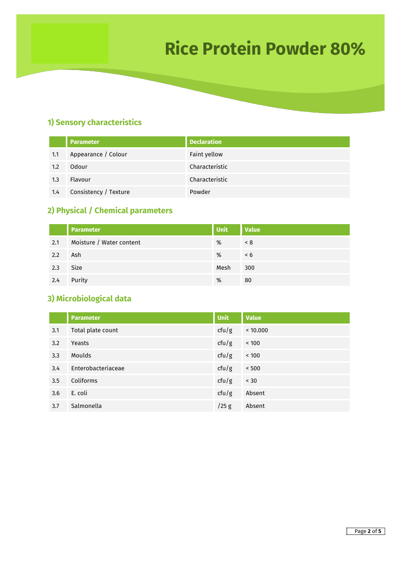#### **1) Sensory characteristics**

|     | <b>Parameter</b>      | <b>Declaration</b> |
|-----|-----------------------|--------------------|
| 1.1 | Appearance / Colour   | Faint yellow       |
| 1.2 | Odour                 | Characteristic     |
| 1.3 | Flavour               | Characteristic     |
| 1.4 | Consistency / Texture | Powder             |

### **2) Physical / Chemical parameters**

|     | <b>Parameter</b>         | <b>Unit</b> | <b>Value</b> |
|-----|--------------------------|-------------|--------------|
| 2.1 | Moisture / Water content | %           | < 8          |
| 2.2 | Ash                      | %           | $\leq 6$     |
| 2.3 | Size                     | Mesh        | 300          |
| 2.4 | Purity                   | %           | 80           |

### **3) Microbiological data**

|     | <b>Parameter</b>   | <b>Unit</b> | <b>Value</b> |
|-----|--------------------|-------------|--------------|
| 3.1 | Total plate count  | ctu/g       | < 10.000     |
| 3.2 | Yeasts             | ctu/g       | < 100        |
| 3.3 | Moulds             | ctu/g       | < 100        |
| 3.4 | Enterobacteriaceae | ctu/g       | < 500        |
| 3.5 | Coliforms          | ctu/g       | < 30         |
| 3.6 | E. coli            | ctu/g       | Absent       |
| 3.7 | Salmonella         | $/25$ g     | Absent       |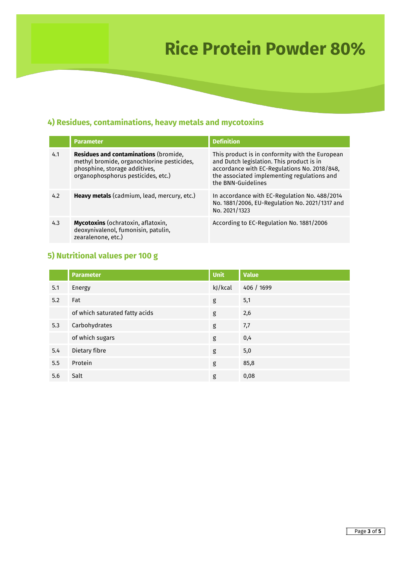### **4) Residues, contaminations, heavy metals and mycotoxins**

|     | <b>Parameter</b>                                                                                                                                                  | <b>Definition</b>                                                                                                                                                                                                 |
|-----|-------------------------------------------------------------------------------------------------------------------------------------------------------------------|-------------------------------------------------------------------------------------------------------------------------------------------------------------------------------------------------------------------|
| 4.1 | <b>Residues and contaminations (bromide,</b><br>methyl bromide, organochlorine pesticides,<br>phosphine, storage additives,<br>organophosphorus pesticides, etc.) | This product is in conformity with the European<br>and Dutch legislation. This product is in<br>accordance with EC-Regulations No. 2018/848,<br>the associated implementing regulations and<br>the BNN-Guidelines |
| 4.2 | Heavy metals (cadmium, lead, mercury, etc.)                                                                                                                       | In accordance with EC-Regulation No. 488/2014<br>No. 1881/2006, EU-Regulation No. 2021/1317 and<br>No. 2021/1323                                                                                                  |
| 4.3 | <b>Mycotoxins</b> (ochratoxin, aflatoxin,<br>deoxynivalenol, fumonisin, patulin,<br>zearalenone, etc.)                                                            | According to EC-Regulation No. 1881/2006                                                                                                                                                                          |

### **5) Nutritional values per 100 g**

|     | <b>Parameter</b>               | <b>Unit</b> | <b>Value</b> |
|-----|--------------------------------|-------------|--------------|
| 5.1 | Energy                         | kJ/kcal     | 406 / 1699   |
| 5.2 | Fat                            | g           | 5,1          |
|     | of which saturated fatty acids | g           | 2,6          |
| 5.3 | Carbohydrates                  | g           | 7,7          |
|     | of which sugars                | g           | 0,4          |
| 5.4 | Dietary fibre                  | g           | 5,0          |
| 5.5 | Protein                        | g           | 85,8         |
| 5.6 | Salt                           | g           | 0,08         |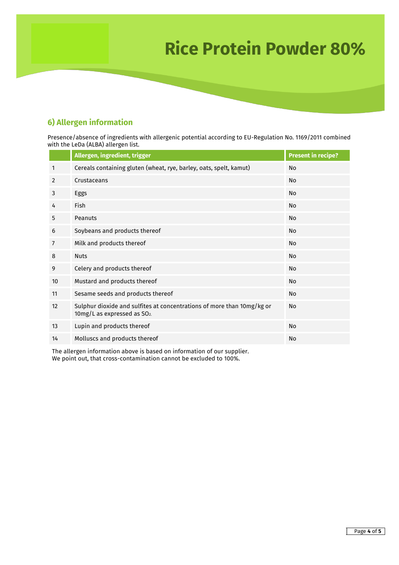#### **6) Allergen information**

Presence/absence of ingredients with allergenic potential according to EU-Regulation No. 1169/2011 combined with the LeDa (ALBA) allergen list.

|                | Allergen, ingredient, trigger                                                                                      | <b>Present in recipe?</b> |
|----------------|--------------------------------------------------------------------------------------------------------------------|---------------------------|
| 1              | Cereals containing gluten (wheat, rye, barley, oats, spelt, kamut)                                                 | No                        |
| 2              | Crustaceans                                                                                                        | No                        |
| 3              | Eggs                                                                                                               | <b>No</b>                 |
| 4              | <b>Fish</b>                                                                                                        | No                        |
| 5              | Peanuts                                                                                                            | <b>No</b>                 |
| 6              | Soybeans and products thereof                                                                                      | No                        |
| $\overline{7}$ | Milk and products thereof                                                                                          | <b>No</b>                 |
| 8              | <b>Nuts</b>                                                                                                        | <b>No</b>                 |
| 9              | Celery and products thereof                                                                                        | <b>No</b>                 |
| 10             | Mustard and products thereof                                                                                       | No                        |
| 11             | Sesame seeds and products thereof                                                                                  | No                        |
| 12             | Sulphur dioxide and sulfites at concentrations of more than 10mg/kg or<br>10mg/L as expressed as SO <sub>2</sub> . | <b>No</b>                 |
| 13             | Lupin and products thereof                                                                                         | <b>No</b>                 |
| 14             | Molluscs and products thereof                                                                                      | <b>No</b>                 |

The allergen information above is based on information of our supplier. We point out, that cross-contamination cannot be excluded to 100%.